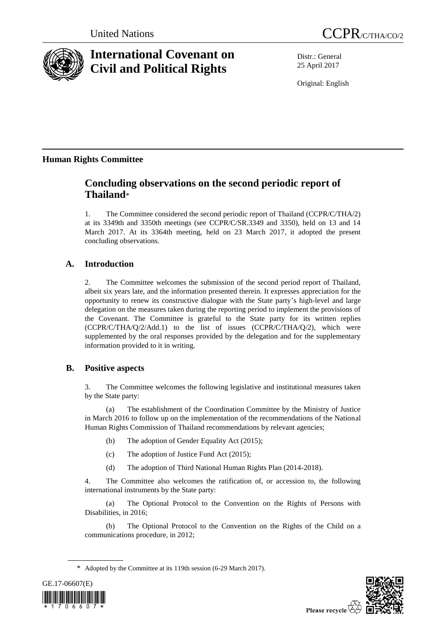

# **International Covenant on Civil and Political Rights**

Distr.: General 25 April 2017

Original: English

## **Human Rights Committee**

## **Concluding observations on the second periodic report of Thailand**\*

1. The Committee considered the second periodic report of Thailand (CCPR/C/THA/2) at its 3349th and 3350th meetings (see CCPR/C/SR.3349 and 3350), held on 13 and 14 March 2017. At its 3364th meeting, held on 23 March 2017, it adopted the present concluding observations.

## **A. Introduction**

2. The Committee welcomes the submission of the second period report of Thailand, albeit six years late, and the information presented therein. It expresses appreciation for the opportunity to renew its constructive dialogue with the State party's high-level and large delegation on the measures taken during the reporting period to implement the provisions of the Covenant. The Committee is grateful to the State party for its written replies (CCPR/C/THA/Q/2/Add.1) to the list of issues (CCPR/C/THA/Q/2), which were supplemented by the oral responses provided by the delegation and for the supplementary information provided to it in writing.

## **B. Positive aspects**

3. The Committee welcomes the following legislative and institutional measures taken by the State party:

(a) The establishment of the Coordination Committee by the Ministry of Justice in March 2016 to follow up on the implementation of the recommendations of the National Human Rights Commission of Thailand recommendations by relevant agencies;

- (b) The adoption of Gender Equality Act (2015);
- (c) The adoption of Justice Fund Act (2015);
- (d) The adoption of Third National Human Rights Plan (2014-2018).

4. The Committee also welcomes the ratification of, or accession to, the following international instruments by the State party:

(a) The Optional Protocol to the Convention on the Rights of Persons with Disabilities, in 2016;

(b) The Optional Protocol to the Convention on the Rights of the Child on a communications procedure, in 2012;

<sup>\*</sup> Adopted by the Committee at its 119th session (6-29 March 2017).



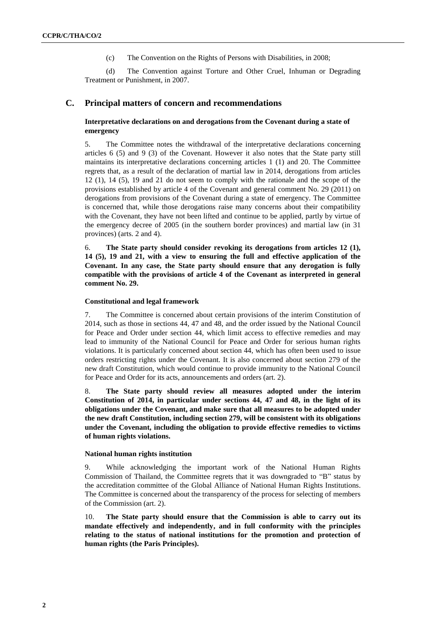(c) The Convention on the Rights of Persons with Disabilities, in 2008;

(d) The Convention against Torture and Other Cruel, Inhuman or Degrading Treatment or Punishment, in 2007.

## **C. Principal matters of concern and recommendations**

## **Interpretative declarations on and derogations from the Covenant during a state of emergency**

5. The Committee notes the withdrawal of the interpretative declarations concerning articles 6 (5) and 9 (3) of the Covenant. However it also notes that the State party still maintains its interpretative declarations concerning articles 1 (1) and 20. The Committee regrets that, as a result of the declaration of martial law in 2014, derogations from articles 12 (1), 14 (5), 19 and 21 do not seem to comply with the rationale and the scope of the provisions established by article 4 of the Covenant and general comment No. 29 (2011) on derogations from provisions of the Covenant during a state of emergency. The Committee is concerned that, while those derogations raise many concerns about their compatibility with the Covenant, they have not been lifted and continue to be applied, partly by virtue of the emergency decree of 2005 (in the southern border provinces) and martial law (in 31 provinces) (arts. 2 and 4).

6. **The State party should consider revoking its derogations from articles 12 (1), 14 (5), 19 and 21, with a view to ensuring the full and effective application of the Covenant. In any case, the State party should ensure that any derogation is fully compatible with the provisions of article 4 of the Covenant as interpreted in general comment No. 29.** 

## **Constitutional and legal framework**

7. The Committee is concerned about certain provisions of the interim Constitution of 2014, such as those in sections 44, 47 and 48, and the order issued by the National Council for Peace and Order under section 44, which limit access to effective remedies and may lead to immunity of the National Council for Peace and Order for serious human rights violations. It is particularly concerned about section 44, which has often been used to issue orders restricting rights under the Covenant. It is also concerned about section 279 of the new draft Constitution, which would continue to provide immunity to the National Council for Peace and Order for its acts, announcements and orders (art. 2).

8. **The State party should review all measures adopted under the interim Constitution of 2014, in particular under sections 44, 47 and 48, in the light of its obligations under the Covenant, and make sure that all measures to be adopted under the new draft Constitution, including section 279, will be consistent with its obligations under the Covenant, including the obligation to provide effective remedies to victims of human rights violations.** 

### **National human rights institution**

9. While acknowledging the important work of the National Human Rights Commission of Thailand, the Committee regrets that it was downgraded to "B" status by the accreditation committee of the Global Alliance of National Human Rights Institutions. The Committee is concerned about the transparency of the process for selecting of members of the Commission (art. 2).

10. **The State party should ensure that the Commission is able to carry out its mandate effectively and independently, and in full conformity with the principles relating to the status of national institutions for the promotion and protection of human rights (the Paris Principles).**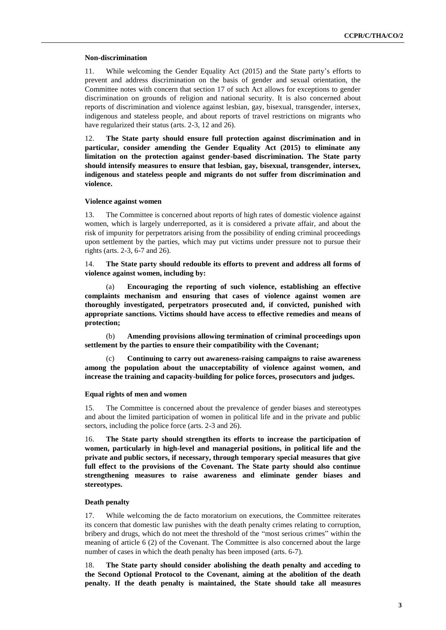#### **Non-discrimination**

11. While welcoming the Gender Equality Act (2015) and the State party's efforts to prevent and address discrimination on the basis of gender and sexual orientation, the Committee notes with concern that section 17 of such Act allows for exceptions to gender discrimination on grounds of religion and national security. It is also concerned about reports of discrimination and violence against lesbian, gay, bisexual, transgender, intersex, indigenous and stateless people, and about reports of travel restrictions on migrants who have regularized their status (arts. 2-3, 12 and 26).

12. **The State party should ensure full protection against discrimination and in particular, consider amending the Gender Equality Act (2015) to eliminate any limitation on the protection against gender-based discrimination. The State party should intensify measures to ensure that lesbian, gay, bisexual, transgender, intersex, indigenous and stateless people and migrants do not suffer from discrimination and violence.** 

#### **Violence against women**

13. The Committee is concerned about reports of high rates of domestic violence against women, which is largely underreported, as it is considered a private affair, and about the risk of impunity for perpetrators arising from the possibility of ending criminal proceedings upon settlement by the parties, which may put victims under pressure not to pursue their rights (arts. 2-3, 6-7 and 26).

14. **The State party should redouble its efforts to prevent and address all forms of violence against women, including by:**

(a) **Encouraging the reporting of such violence, establishing an effective complaints mechanism and ensuring that cases of violence against women are thoroughly investigated, perpetrators prosecuted and, if convicted, punished with appropriate sanctions. Victims should have access to effective remedies and means of protection;**

(b) **Amending provisions allowing termination of criminal proceedings upon settlement by the parties to ensure their compatibility with the Covenant;**

(c) **Continuing to carry out awareness-raising campaigns to raise awareness among the population about the unacceptability of violence against women, and increase the training and capacity-building for police forces, prosecutors and judges.**

#### **Equal rights of men and women**

15. The Committee is concerned about the prevalence of gender biases and stereotypes and about the limited participation of women in political life and in the private and public sectors, including the police force (arts. 2-3 and 26).

16. **The State party should strengthen its efforts to increase the participation of women, particularly in high-level and managerial positions, in political life and the private and public sectors, if necessary, through temporary special measures that give full effect to the provisions of the Covenant. The State party should also continue strengthening measures to raise awareness and eliminate gender biases and stereotypes.**

### **Death penalty**

17. While welcoming the de facto moratorium on executions, the Committee reiterates its concern that domestic law punishes with the death penalty crimes relating to corruption, bribery and drugs, which do not meet the threshold of the "most serious crimes" within the meaning of article 6 (2) of the Covenant. The Committee is also concerned about the large number of cases in which the death penalty has been imposed (arts. 6-7).

18. **The State party should consider abolishing the death penalty and acceding to the Second Optional Protocol to the Covenant, aiming at the abolition of the death penalty. If the death penalty is maintained, the State should take all measures**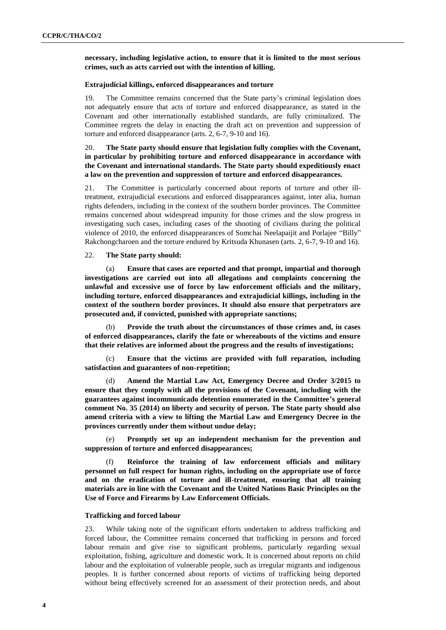## **necessary, including legislative action, to ensure that it is limited to the most serious crimes, such as acts carried out with the intention of killing.**

#### **Extrajudicial killings, enforced disappearances and torture**

19. The Committee remains concerned that the State party's criminal legislation does not adequately ensure that acts of torture and enforced disappearance, as stated in the Covenant and other internationally established standards, are fully criminalized. The Committee regrets the delay in enacting the draft act on prevention and suppression of torture and enforced disappearance (arts. 2, 6-7, 9-10 and 16).

## 20. **The State party should ensure that legislation fully complies with the Covenant, in particular by prohibiting torture and enforced disappearance in accordance with the Covenant and international standards. The State party should expeditiously enact a law on the prevention and suppression of torture and enforced disappearances.**

21. The Committee is particularly concerned about reports of torture and other illtreatment, extrajudicial executions and enforced disappearances against, inter alia, human rights defenders, including in the context of the southern border provinces. The Committee remains concerned about widespread impunity for those crimes and the slow progress in investigating such cases, including cases of the shooting of civilians during the political violence of 2010, the enforced disappearances of Somchai Neelapaijit and Porlajee "Billy" Rakchongcharoen and the torture endured by Kritsuda Khunasen (arts. 2, 6-7, 9-10 and 16).

## 22. **The State party should:**

(a) **Ensure that cases are reported and that prompt, impartial and thorough investigations are carried out into all allegations and complaints concerning the unlawful and excessive use of force by law enforcement officials and the military, including torture, enforced disappearances and extrajudicial killings, including in the context of the southern border provinces. It should also ensure that perpetrators are prosecuted and, if convicted, punished with appropriate sanctions;**

(b) **Provide the truth about the circumstances of those crimes and, in cases of enforced disappearances, clarify the fate or whereabouts of the victims and ensure that their relatives are informed about the progress and the results of investigations;**

(c) **Ensure that the victims are provided with full reparation, including satisfaction and guarantees of non-repetition;**

(d) **Amend the Martial Law Act, Emergency Decree and Order 3/2015 to ensure that they comply with all the provisions of the Covenant, including with the guarantees against incommunicado detention enumerated in the Committee's general comment No. 35 (2014) on liberty and security of person. The State party should also amend criteria with a view to lifting the Martial Law and Emergency Decree in the provinces currently under them without undue delay;**

(e) **Promptly set up an independent mechanism for the prevention and suppression of torture and enforced disappearances;**

(f) **Reinforce the training of law enforcement officials and military personnel on full respect for human rights, including on the appropriate use of force and on the eradication of torture and ill-treatment, ensuring that all training materials are in line with the Covenant and the United Nations Basic Principles on the Use of Force and Firearms by Law Enforcement Officials.** 

#### **Trafficking and forced labour**

23. While taking note of the significant efforts undertaken to address trafficking and forced labour, the Committee remains concerned that trafficking in persons and forced labour remain and give rise to significant problems, particularly regarding sexual exploitation, fishing, agriculture and domestic work. It is concerned about reports on child labour and the exploitation of vulnerable people, such as irregular migrants and indigenous peoples. It is further concerned about reports of victims of trafficking being deported without being effectively screened for an assessment of their protection needs, and about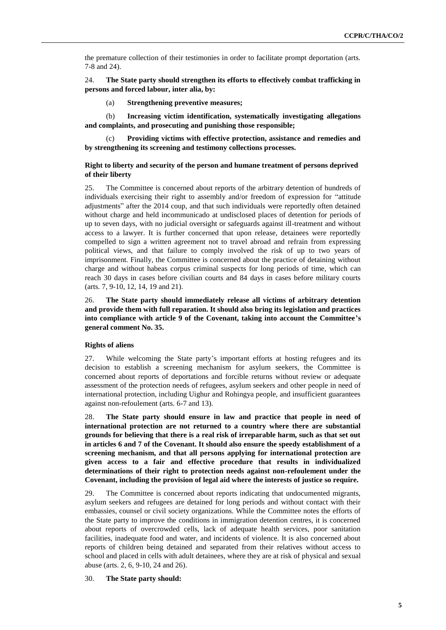the premature collection of their testimonies in order to facilitate prompt deportation (arts. 7-8 and 24).

24. **The State party should strengthen its efforts to effectively combat trafficking in persons and forced labour, inter alia, by:**

(a) **Strengthening preventive measures;**

(b) **Increasing victim identification, systematically investigating allegations and complaints, and prosecuting and punishing those responsible;** 

(c) **Providing victims with effective protection, assistance and remedies and by strengthening its screening and testimony collections processes.** 

## **Right to liberty and security of the person and humane treatment of persons deprived of their liberty**

25. The Committee is concerned about reports of the arbitrary detention of hundreds of individuals exercising their right to assembly and/or freedom of expression for "attitude adjustments" after the 2014 coup, and that such individuals were reportedly often detained without charge and held incommunicado at undisclosed places of detention for periods of up to seven days, with no judicial oversight or safeguards against ill-treatment and without access to a lawyer. It is further concerned that upon release, detainees were reportedly compelled to sign a written agreement not to travel abroad and refrain from expressing political views, and that failure to comply involved the risk of up to two years of imprisonment. Finally, the Committee is concerned about the practice of detaining without charge and without habeas corpus criminal suspects for long periods of time, which can reach 30 days in cases before civilian courts and 84 days in cases before military courts (arts. 7, 9-10, 12, 14, 19 and 21).

26. **The State party should immediately release all victims of arbitrary detention and provide them with full reparation. It should also bring its legislation and practices into compliance with article 9 of the Covenant, taking into account the Committee's general comment No. 35.** 

### **Rights of aliens**

27. While welcoming the State party's important efforts at hosting refugees and its decision to establish a screening mechanism for asylum seekers, the Committee is concerned about reports of deportations and forcible returns without review or adequate assessment of the protection needs of refugees, asylum seekers and other people in need of international protection, including Uighur and Rohingya people, and insufficient guarantees against non-refoulement (arts. 6-7 and 13).

28. **The State party should ensure in law and practice that people in need of international protection are not returned to a country where there are substantial grounds for believing that there is a real risk of irreparable harm, such as that set out in articles 6 and 7 of the Covenant. It should also ensure the speedy establishment of a screening mechanism, and that all persons applying for international protection are given access to a fair and effective procedure that results in individualized determinations of their right to protection needs against non-refoulement under the Covenant, including the provision of legal aid where the interests of justice so require.** 

29. The Committee is concerned about reports indicating that undocumented migrants, asylum seekers and refugees are detained for long periods and without contact with their embassies, counsel or civil society organizations. While the Committee notes the efforts of the State party to improve the conditions in immigration detention centres, it is concerned about reports of overcrowded cells, lack of adequate health services, poor sanitation facilities, inadequate food and water, and incidents of violence. It is also concerned about reports of children being detained and separated from their relatives without access to school and placed in cells with adult detainees, where they are at risk of physical and sexual abuse (arts. 2, 6, 9-10, 24 and 26).

## 30. **The State party should:**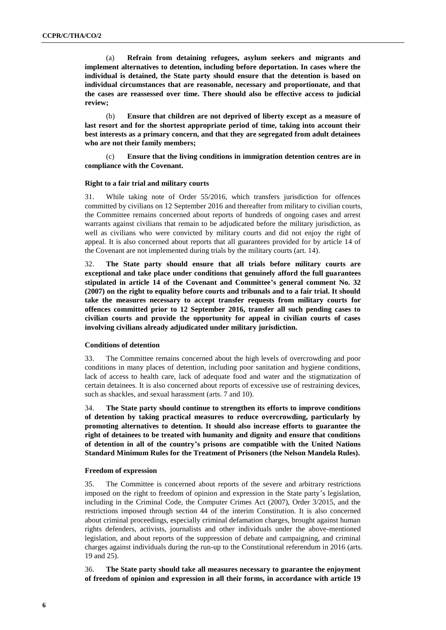(a) **Refrain from detaining refugees, asylum seekers and migrants and implement alternatives to detention, including before deportation. In cases where the individual is detained, the State party should ensure that the detention is based on individual circumstances that are reasonable, necessary and proportionate, and that the cases are reassessed over time. There should also be effective access to judicial review;**

(b) **Ensure that children are not deprived of liberty except as a measure of last resort and for the shortest appropriate period of time, taking into account their best interests as a primary concern, and that they are segregated from adult detainees who are not their family members;**

(c) **Ensure that the living conditions in immigration detention centres are in compliance with the Covenant.** 

#### **Right to a fair trial and military courts**

31. While taking note of Order 55/2016, which transfers jurisdiction for offences committed by civilians on 12 September 2016 and thereafter from military to civilian courts, the Committee remains concerned about reports of hundreds of ongoing cases and arrest warrants against civilians that remain to be adjudicated before the military jurisdiction, as well as civilians who were convicted by military courts and did not enjoy the right of appeal. It is also concerned about reports that all guarantees provided for by article 14 of the Covenant are not implemented during trials by the military courts (art. 14).

32. **The State party should ensure that all trials before military courts are exceptional and take place under conditions that genuinely afford the full guarantees stipulated in article 14 of the Covenant and Committee's general comment No. 32 (2007) on the right to equality before courts and tribunals and to a fair trial. It should take the measures necessary to accept transfer requests from military courts for offences committed prior to 12 September 2016, transfer all such pending cases to civilian courts and provide the opportunity for appeal in civilian courts of cases involving civilians already adjudicated under military jurisdiction.** 

#### **Conditions of detention**

33. The Committee remains concerned about the high levels of overcrowding and poor conditions in many places of detention, including poor sanitation and hygiene conditions, lack of access to health care, lack of adequate food and water and the stigmatization of certain detainees. It is also concerned about reports of excessive use of restraining devices, such as shackles, and sexual harassment (arts. 7 and 10).

34. **The State party should continue to strengthen its efforts to improve conditions of detention by taking practical measures to reduce overcrowding, particularly by promoting alternatives to detention. It should also increase efforts to guarantee the right of detainees to be treated with humanity and dignity and ensure that conditions of detention in all of the country's prisons are compatible with the United Nations Standard Minimum Rules for the Treatment of Prisoners (the Nelson Mandela Rules).**

#### **Freedom of expression**

35. The Committee is concerned about reports of the severe and arbitrary restrictions imposed on the right to freedom of opinion and expression in the State party's legislation, including in the Criminal Code, the Computer Crimes Act (2007), Order 3/2015, and the restrictions imposed through section 44 of the interim Constitution. It is also concerned about criminal proceedings, especially criminal defamation charges, brought against human rights defenders, activists, journalists and other individuals under the above-mentioned legislation, and about reports of the suppression of debate and campaigning, and criminal charges against individuals during the run-up to the Constitutional referendum in 2016 (arts. 19 and 25).

36. **The State party should take all measures necessary to guarantee the enjoyment of freedom of opinion and expression in all their forms, in accordance with article 19**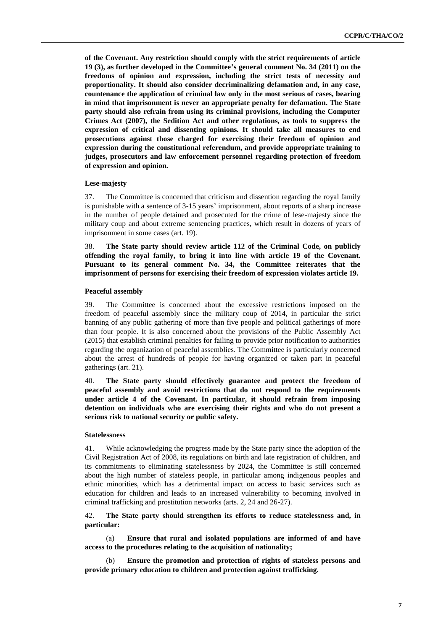**of the Covenant. Any restriction should comply with the strict requirements of article 19 (3), as further developed in the Committee's general comment No. 34 (2011) on the freedoms of opinion and expression, including the strict tests of necessity and proportionality. It should also consider decriminalizing defamation and, in any case, countenance the application of criminal law only in the most serious of cases, bearing in mind that imprisonment is never an appropriate penalty for defamation. The State party should also refrain from using its criminal provisions, including the Computer Crimes Act (2007), the Sedition Act and other regulations, as tools to suppress the expression of critical and dissenting opinions. It should take all measures to end prosecutions against those charged for exercising their freedom of opinion and expression during the constitutional referendum, and provide appropriate training to judges, prosecutors and law enforcement personnel regarding protection of freedom of expression and opinion.** 

#### **Lese-majesty**

37. The Committee is concerned that criticism and dissention regarding the royal family is punishable with a sentence of 3-15 years' imprisonment, about reports of a sharp increase in the number of people detained and prosecuted for the crime of lese-majesty since the military coup and about extreme sentencing practices, which result in dozens of years of imprisonment in some cases (art. 19).

38. **The State party should review article 112 of the Criminal Code, on publicly offending the royal family, to bring it into line with article 19 of the Covenant. Pursuant to its general comment No. 34, the Committee reiterates that the imprisonment of persons for exercising their freedom of expression violates article 19.**

#### **Peaceful assembly**

39. The Committee is concerned about the excessive restrictions imposed on the freedom of peaceful assembly since the military coup of 2014, in particular the strict banning of any public gathering of more than five people and political gatherings of more than four people. It is also concerned about the provisions of the Public Assembly Act (2015) that establish criminal penalties for failing to provide prior notification to authorities regarding the organization of peaceful assemblies. The Committee is particularly concerned about the arrest of hundreds of people for having organized or taken part in peaceful gatherings (art. 21).

40. **The State party should effectively guarantee and protect the freedom of peaceful assembly and avoid restrictions that do not respond to the requirements under article 4 of the Covenant. In particular, it should refrain from imposing detention on individuals who are exercising their rights and who do not present a serious risk to national security or public safety.** 

### **Statelessness**

41. While acknowledging the progress made by the State party since the adoption of the Civil Registration Act of 2008, its regulations on birth and late registration of children, and its commitments to eliminating statelessness by 2024, the Committee is still concerned about the high number of stateless people, in particular among indigenous peoples and ethnic minorities, which has a detrimental impact on access to basic services such as education for children and leads to an increased vulnerability to becoming involved in criminal trafficking and prostitution networks (arts. 2, 24 and 26-27).

## 42. **The State party should strengthen its efforts to reduce statelessness and, in particular:**

(a) **Ensure that rural and isolated populations are informed of and have access to the procedures relating to the acquisition of nationality;** 

(b) **Ensure the promotion and protection of rights of stateless persons and provide primary education to children and protection against trafficking.**